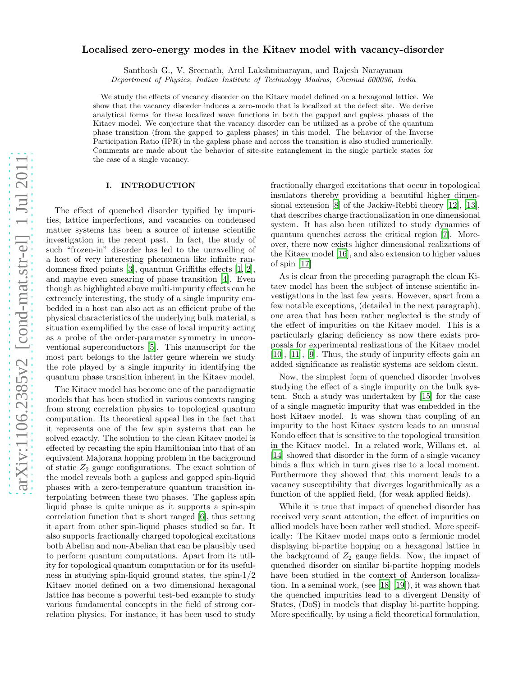# arXiv:1106.2385v2 [cond-mat.str-el] 1 Jul 2011 [arXiv:1106.2385v2 \[cond-mat.str-el\] 1 Jul 2011](http://arxiv.org/abs/1106.2385v2)

# Localised zero-energy modes in the Kitaev model with vacancy-disorder

Santhosh G., V. Sreenath, Arul Lakshminarayan, and Rajesh Narayanan

Department of Physics, Indian Institute of Technology Madras, Chennai 600036, India

We study the effects of vacancy disorder on the Kitaev model defined on a hexagonal lattice. We show that the vacancy disorder induces a zero-mode that is localized at the defect site. We derive analytical forms for these localized wave functions in both the gapped and gapless phases of the Kitaev model. We conjecture that the vacancy disorder can be utilized as a probe of the quantum phase transition (from the gapped to gapless phases) in this model. The behavior of the Inverse Participation Ratio (IPR) in the gapless phase and across the transition is also studied numerically. Comments are made about the behavior of site-site entanglement in the single particle states for the case of a single vacancy.

# <span id="page-0-0"></span>I. INTRODUCTION

The effect of quenched disorder typified by impurities, lattice imperfections, and vacancies on condensed matter systems has been a source of intense scientific investigation in the recent past. In fact, the study of such "frozen-in" disorder has led to the unravelling of a host of very interesting phenomena like infinite randomness fixed points [\[3](#page-7-0)], quantum Griffiths effects [\[1,](#page-7-1) [2\]](#page-7-2), and maybe even smearing of phase transition [\[4\]](#page-7-3). Even though as highlighted above multi-impurity effects can be extremely interesting, the study of a single impurity embedded in a host can also act as an efficient probe of the physical characteristics of the underlying bulk material, a situation exemplified by the case of local impurity acting as a probe of the order-paramater symmetry in unconventional superconductors [\[5](#page-7-4)]. This manuscript for the most part belongs to the latter genre wherein we study the role played by a single impurity in identifying the quantum phase transition inherent in the Kitaev model.

The Kitaev model has become one of the paradigmatic models that has been studied in various contexts ranging from strong correlation physics to topological quantum computation. Its theoretical appeal lies in the fact that it represents one of the few spin systems that can be solved exactly. The solution to the clean Kitaev model is effected by recasting the spin Hamiltonian into that of an equivalent Majorana hopping problem in the background of static  $Z_2$  gauge configurations. The exact solution of the model reveals both a gapless and gapped spin-liquid phases with a zero-temperature quantum transition interpolating between these two phases. The gapless spin liquid phase is quite unique as it supports a spin-spin correlation function that is short ranged [\[6](#page-7-5)], thus setting it apart from other spin-liquid phases studied so far. It also supports fractionally charged topological excitations both Abelian and non-Abelian that can be plausibly used to perform quantum computations. Apart from its utility for topological quantum computation or for its usefulness in studying spin-liquid ground states, the spin-1/2 Kitaev model defined on a two dimensional hexagonal lattice has become a powerful test-bed example to study various fundamental concepts in the field of strong correlation physics. For instance, it has been used to study

fractionally charged excitations that occur in topological insulators thereby providing a beautiful higher dimensional extension [\[8](#page-7-6)] of the Jackiw-Rebbi theory [\[12](#page-7-7)], [\[13\]](#page-7-8), that describes charge fractionalization in one dimensional system. It has also been utilized to study dynamics of quantum quenches across the critical region [\[7\]](#page-7-9). Moreover, there now exists higher dimensional realizations of the Kitaev model [\[16](#page-7-10)], and also extension to higher values of spin [\[17](#page-7-11)]

As is clear from the preceding paragraph the clean Kitaev model has been the subject of intense scientific investigations in the last few years. However, apart from a few notable exceptions, (detailed in the next paragraph), one area that has been rather neglected is the study of the effect of impurities on the Kitaev model. This is a particularly glaring deficiency as now there exists proposals for experimental realizations of the Kitaev model [\[10\]](#page-7-12), [\[11\]](#page-7-13), [\[9](#page-7-14)]. Thus, the study of impurity effects gain an added significance as realistic systems are seldom clean.

Now, the simplest form of quenched disorder involves studying the effect of a single impurity on the bulk system. Such a study was undertaken by [\[15](#page-7-15)] for the case of a single magnetic impurity that was embedded in the host Kitaev model. It was shown that coupling of an impurity to the host Kitaev system leads to an unusual Kondo effect that is sensitive to the topological transition in the Kitaev model. In a related work, Willans et. al [\[14\]](#page-7-16) showed that disorder in the form of a single vacancy binds a flux which in turn gives rise to a local moment. Furthermore they showed that this moment leads to a vacancy susceptibility that diverges logarithmically as a function of the applied field, (for weak applied fields).

While it is true that impact of quenched disorder has received very scant attention, the effect of impurities on allied models have been rather well studied. More specifically: The Kitaev model maps onto a fermionic model displaying bi-partite hopping on a hexagonal lattice in the background of  $Z_2$  gauge fields. Now, the impact of quenched disorder on similar bi-partite hopping models have been studied in the context of Anderson localization. In a seminal work, (see [\[18\]](#page-7-17) [\[19\]](#page-7-18)), it was shown that the quenched impurities lead to a divergent Density of States, (DoS) in models that display bi-partite hopping. More specifically, by using a field theoretical formulation,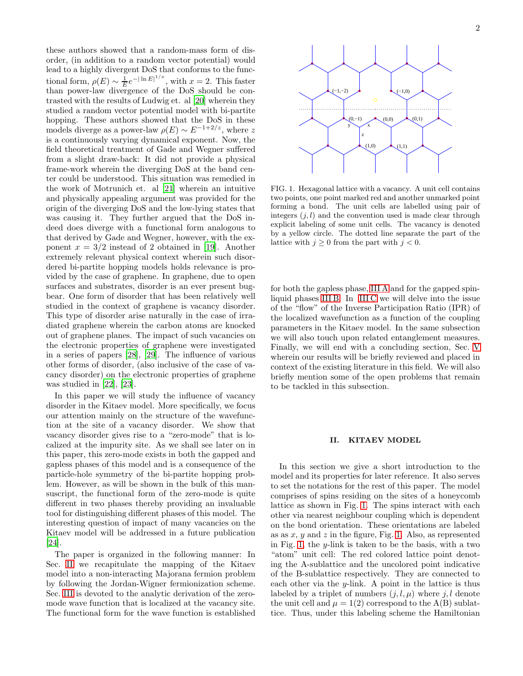these authors showed that a random-mass form of disorder, (in addition to a random vector potential) would lead to a highly divergent DoS that conforms to the functional form,  $\rho(E) \sim \frac{1}{E} e^{-|\ln E|^{1/x}}$ , with  $x = 2$ . This faster than power-law divergence of the DoS should be contrasted with the results of Ludwig et. al [\[20\]](#page-7-19) wherein they studied a random vector potential model with bi-partite hopping. These authors showed that the DoS in these models diverge as a power-law  $\rho(E) \sim E^{-1+2/z}$ , where z is a continuously varying dynamical exponent. Now, the field theoretical treatment of Gade and Wegner suffered from a slight draw-back: It did not provide a physical frame-work wherein the diverging DoS at the band center could be understood. This situation was remedied in the work of Motrunich et. al [\[21\]](#page-7-20) wherein an intuitive and physically appealing argument was provided for the origin of the diverging DoS and the low-lying states that was causing it. They further argued that the DoS indeed does diverge with a functional form analogous to that derived by Gade and Wegner, however, with the exponent  $x = 3/2$  instead of 2 obtained in [\[19](#page-7-18)]. Another extremely relevant physical context wherein such disordered bi-partite hopping models holds relevance is provided by the case of graphene. In graphene, due to open surfaces and substrates, disorder is an ever present bugbear. One form of disorder that has been relatively well studied in the context of graphene is vacancy disorder. This type of disorder arise naturally in the case of irradiated graphene wherein the carbon atoms are knocked out of graphene planes. The impact of such vacancies on the electronic properties of graphene were investigated in a series of papers [\[28](#page-7-21)], [\[29\]](#page-7-22). The influence of various other forms of disorder, (also inclusive of the case of vacancy disorder) on the electronic properties of graphene was studied in [\[22](#page-7-23)], [\[23\]](#page-7-24).

In this paper we will study the influence of vacancy disorder in the Kitaev model. More specifically, we focus our attention mainly on the structure of the wavefunction at the site of a vacancy disorder. We show that vacancy disorder gives rise to a "zero-mode" that is localized at the impurity site. As we shall see later on in this paper, this zero-mode exists in both the gapped and gapless phases of this model and is a consequence of the particle-hole symmetry of the bi-partite hopping problem. However, as will be shown in the bulk of this mansuscript, the functional form of the zero-mode is quite different in two phases thereby providing an invaluable tool for distinguishing different phases of this model. The interesting question of impact of many vacancies on the Kitaev model will be addressed in a future publication [\[24\]](#page-7-25).

The paper is organized in the following manner: In Sec. [II](#page-1-0) we recapitulate the mapping of the Kitaev model into a non-interacting Majorana fermion problem by following the Jordan-Wigner fermionization scheme. Sec. [III](#page-2-0) is devoted to the analytic derivation of the zeromode wave function that is localized at the vacancy site. The functional form for the wave function is established



<span id="page-1-1"></span>FIG. 1. Hexagonal lattice with a vacancy. A unit cell contains two points, one point marked red and another unmarked point forming a bond. The unit cells are labelled using pair of integers  $(j, l)$  and the convention used is made clear through explicit labeling of some unit cells. The vacancy is denoted by a yellow circle. The dotted line separate the part of the lattice with  $j \geq 0$  from the part with  $j < 0$ .

for both the gapless phase, [III A](#page-3-0) and for the gapped spinliquid phases [III B.](#page-4-0) In [III C](#page-4-1) we will delve into the issue of the "flow" of the Inverse Participation Ratio (IPR) of the localized wavefunction as a function of the coupling parameters in the Kitaev model. In the same subsection we will also touch upon related entanglement measures. Finally, we will end with a concluding section, Sec. [V](#page-6-0) wherein our results will be briefly reviewed and placed in context of the existing literature in this field. We will also briefly mention some of the open problems that remain to be tackled in this subsection.

### <span id="page-1-0"></span>II. KITAEV MODEL

In this section we give a short introduction to the model and its properties for later reference. It also serves to set the notations for the rest of this paper. The model comprises of spins residing on the sites of a honeycomb lattice as shown in Fig. [1.](#page-1-1) The spins interact with each other via nearest neighbour coupling which is dependent on the bond orientation. These orientations are labeled as as  $x, y$  and  $z$  in the figure, Fig. [1.](#page-1-1) Also, as represented in Fig. [1,](#page-1-1) the y-link is taken to be the basis, with a two "atom" unit cell: The red colored lattice point denoting the A-sublattice and the uncolored point indicative of the B-sublattice respectively. They are connected to each other via the  $y$ -link. A point in the lattice is thus labeled by a triplet of numbers  $(j, l, \mu)$  where j, l denote the unit cell and  $\mu = 1(2)$  correspond to the A(B) sublattice. Thus, under this labeling scheme the Hamiltonian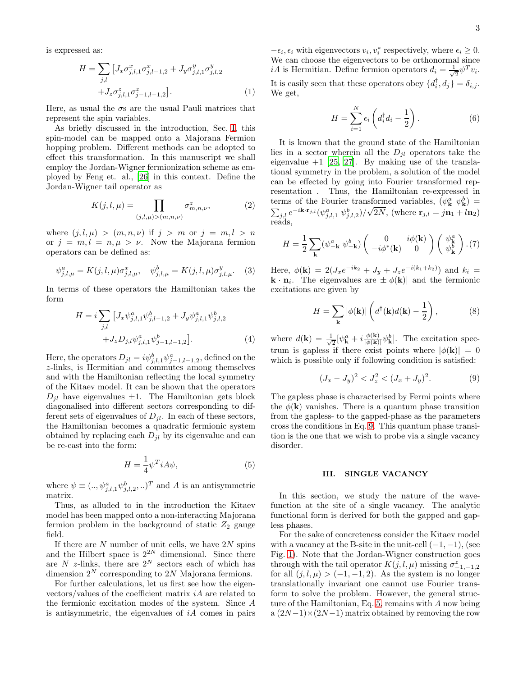is expressed as:

$$
H = \sum_{j,l} \left[ J_x \sigma_{j,l,1}^x \sigma_{j,l-1,2}^x + J_y \sigma_{j,l,1}^y \sigma_{j,l,2}^y \right. \\
\left. + J_z \sigma_{j,l,1}^z \sigma_{j-1,l-1,2}^z \right].
$$
\n(1)

Here, as usual the  $\sigma s$  are the usual Pauli matrices that represent the spin variables.

As briefly discussed in the introduction, Sec. [I,](#page-0-0) this spin-model can be mapped onto a Majorana Fermion hopping problem. Different methods can be adopted to effect this transformation. In this manuscript we shall employ the Jordan-Wigner fermionization scheme as employed by Feng et. al., [\[26](#page-7-26)] in this context. Define the Jordan-Wigner tail operator as

$$
K(j,l,\mu) = \prod_{(j,l,\mu) > (m,n,\nu)} \sigma_{m,n,\nu}^z,\tag{2}
$$

where  $(j, l, \mu) > (m, n, \nu)$  if  $j > m$  or  $j = m, l > n$ or  $j = m, l = n, \mu > \nu$ . Now the Majorana fermion operators can be defined as:

$$
\psi_{j,l,\mu}^{a} = K(j,l,\mu)\sigma_{j,l,\mu}^{x}, \quad \psi_{j,l,\mu}^{b} = K(j,l,\mu)\sigma_{j,l,\mu}^{y}.
$$
 (3)

In terms of these operators the Hamiltonian takes the form

$$
H = i \sum_{j,l} \left[ J_x \psi_{j,l,1}^a \psi_{j,l-1,2}^b + J_y \psi_{j,l,1}^a \psi_{j,l,2}^b \right. + J_z D_{j,l} \psi_{j,l,1}^a \psi_{j-1,l-1,2}^b \right].
$$
 (4)

Here, the operators  $D_{jl} = i\psi_{j,l,1}^b \psi_{j-1,l-1,2}^a$ , defined on the z-links, is Hermitian and commutes among themselves and with the Hamiltonian reflecting the local symmetry of the Kitaev model. It can be shown that the operators  $D_{jl}$  have eigenvalues  $\pm 1$ . The Hamiltonian gets block diagonalised into different sectors corresponding to different sets of eigenvalues of  $D_{il}$ . In each of these sectors, the Hamiltonian becomes a quadratic fermionic system obtained by replacing each  $D_{jl}$  by its eigenvalue and can be re-cast into the form:

<span id="page-2-2"></span>
$$
H = \frac{1}{4} \psi^T i A \psi,\tag{5}
$$

where  $\psi \equiv (., \psi_{j,l,1}^a \psi_{j,l,2}^b, .)$ <sup>T</sup> and A is an antisymmetric matrix.

Thus, as alluded to in the introduction the Kitaev model has been mapped onto a non-interacting Majorana fermion problem in the background of static  $Z_2$  gauge field.

If there are  $N$  number of unit cells, we have  $2N$  spins and the Hilbert space is  $2^{2N}$  dimensional. Since there are N z-links, there are  $2^N$  sectors each of which has dimension  $2^N$  corresponding to  $2N$  Majorana fermions.

For further calculations, let us first see how the eigenvectors/values of the coefficient matrix iA are related to the fermionic excitation modes of the system. Since A is antisymmetric, the eigenvalues of  $iA$  comes in pairs

 $-\epsilon_i, \epsilon_i$  with eigenvectors  $v_i, v_i^*$  respectively, where  $\epsilon_i \geq 0$ . We can choose the eigenvectors to be orthonormal since *iA* is Hermitian. Define fermion operators  $d_i = \frac{1}{\sqrt{2}}$  $\overline{z} \psi^T v_i.$ It is easily seen that these operators obey  $\{d_i^{\dagger}, d_j\} = \delta_{i,j}$ . We get,

<span id="page-2-3"></span>
$$
H = \sum_{i=1}^{N} \epsilon_i \left( d_i^{\dagger} d_i - \frac{1}{2} \right). \tag{6}
$$

It is known that the ground state of the Hamiltonian lies in a sector wherein all the  $D_{il}$  operators take the eigenvalue  $+1$  [\[25,](#page-7-27) [27\]](#page-7-28). By making use of the translational symmetry in the problem, a solution of the model can be effected by going into Fourier transformed representation . Thus, the Hamiltonian re-expressed in terms of the Fourier transformed variables,  $(\psi_{\mathbf{k}}^a \ \psi_{\mathbf{k}}^b)$  =  $\sum_{j,l} e^{-i\mathbf{k}\cdot\mathbf{r}_{j,l}}(\psi^a_{j,l,1}, \psi^b_{j,l,2})/\sqrt{2N}$ , (where  $\mathbf{r}_{j,l} = j\mathbf{n}_1 + l\mathbf{n}_2$ ) reads,

$$
H = \frac{1}{2} \sum_{\mathbf{k}} (\psi_{-\mathbf{k}}^a \ \psi_{-\mathbf{k}}^b) \begin{pmatrix} 0 & i\phi(\mathbf{k}) \\ -i\phi^*(\mathbf{k}) & 0 \end{pmatrix} \begin{pmatrix} \psi_{\mathbf{k}}^a \\ \psi_{\mathbf{k}}^b \end{pmatrix} . (7)
$$

Here,  $\phi(\mathbf{k}) = 2(J_x e^{-ik_2} + J_y + J_z e^{-i(k_1 + k_2)})$  and  $k_i =$ **k**  $\cdot$  **n**<sub>i</sub>. The eigenvalues are  $\pm |\phi(\mathbf{k})|$  and the fermionic excitations are given by

$$
H = \sum_{\mathbf{k}} |\phi(\mathbf{k})| \left( d^{\dagger}(\mathbf{k}) d(\mathbf{k}) - \frac{1}{2} \right), \tag{8}
$$

where  $d(\mathbf{k}) = \frac{1}{\sqrt{k}}$  $\frac{1}{2}[\psi_{\mathbf{k}}^{a}+i\frac{\phi(\mathbf{k})}{|\phi(\mathbf{k})}% ^{a}]}+\frac{1}{2}[\psi_{\mathbf{k}}^{a}+\psi_{\mathbf{k}}^{a}+\psi_{\mathbf{k}}^{a}]}{|\phi(\mathbf{k})}% ^{a}+\psi_{\mathbf{k}}^{a}]}+\quad\text{and}\qquad\left\langle \psi_{\mathbf{k}}^{a}+i\frac{\phi(\mathbf{k})}{|\phi(\mathbf{k})}% ^{a}+\psi_{\mathbf{k}}^{a}+\psi_{\mathbf{k}}^{a}|\right\rangle _{a}^{a}, \label{eq1.10}%$  $\frac{\phi(\mathbf{k})}{|\phi(\mathbf{k})|} \psi_{\mathbf{k}}^b$ . The excitation spectrum is gapless if there exist points where  $|\phi(\mathbf{k})| = 0$ which is possible only if following condition is satisfied:

<span id="page-2-1"></span>
$$
(J_x - J_y)^2 < J_z^2 < (J_x + J_y)^2. \tag{9}
$$

The gapless phase is characterised by Fermi points where the  $\phi(\mathbf{k})$  vanishes. There is a quantum phase transition from the gapless- to the gapped-phase as the parameters cross the conditions in Eq. [9.](#page-2-1) This quantum phase transition is the one that we wish to probe via a single vacancy disorder.

## <span id="page-2-0"></span>III. SINGLE VACANCY

In this section, we study the nature of the wavefunction at the site of a single vacancy. The analytic functional form is derived for both the gapped and gapless phases.

For the sake of concreteness consider the Kitaev model with a vacancy at the B-site in the unit-cell  $(-1, -1)$ , (see Fig. [1\)](#page-1-1). Note that the Jordan-Wigner construction goes through with the tail operator  $K(j, l, \mu)$  missing  $\sigma^z_{-1,-1,2}$ for all  $(i, l, \mu) > (-1, -1, 2)$ . As the system is no longer translationally invariant one cannot use Fourier transform to solve the problem. However, the general structure of the Hamiltonian, Eq. [5,](#page-2-2) remains with A now being  $a (2N-1) \times (2N-1)$  matrix obtained by removing the row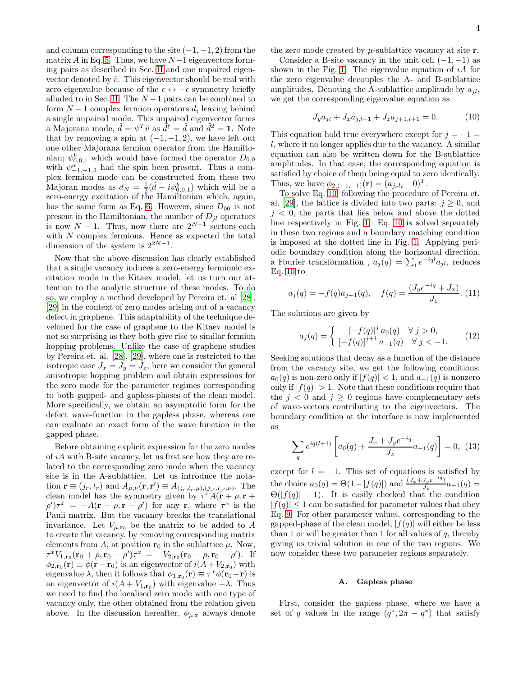and column corresponding to the site  $(-1, -1, 2)$  from the matrix  $A$  in Eq. [5.](#page-2-2) Thus, we have  $N-1$  eigenvectors forming pairs as described in Sec. [II](#page-1-0) and one unpaired eigenvector denoted by  $\tilde{v}$ . This eigenvector should be real with zero eigenvalue because of the  $\epsilon \leftrightarrow -\epsilon$  symmetry briefly alluded to in Sec. [II.](#page-1-0) The  $N-1$  pairs can be combined to form  $N-1$  complex fermion operators  $d_i$  leaving behind a single unpaired mode. This unpaired eigenvector forms a Majorana mode,  $\tilde{d} = \psi^T \tilde{v}$  as  $\tilde{d}^\dagger = \tilde{d}$  and  $\tilde{d}^2 = 1$ . Note that by removing a spin at  $(-1, -1, 2)$ , we have left out one other Majorana fermion operator from the Hamiltonian;  $\psi_{0,0,1}^b$  which would have formed the operator  $D_{0,0}$ with  $\psi^a_{-1,-1,2}$  had the spin been present. Thus a complex fermion mode can be constructed from these two Majoran modes as  $d_N = \frac{1}{2}(\tilde{d} + i\psi_{0,0,1}^b)$  which will be a zero-energy excitation of the Hamiltonian which, again, has the same form as Eq. [6.](#page-2-3) However, since  $D_{00}$  is not present in the Hamiltonian, the number of  $D_{jl}$  operators is now  $N-1$ . Thus, now there are  $2^{N-1}$  sectors each with N complex fermions. Hence as expected the total dimension of the system is  $2^{2N-1}$ .

Now that the above discussion has clearly established that a single vacancy induces a zero-energy fermionic excitation mode in the Kitaev model, let us turn our attention to the analytic structure of these modes. To do so, we employ a method developed by Pereira et. al [\[28\]](#page-7-21), [\[29\]](#page-7-22) in the context of zero modes arising out of a vacancy defect in graphene. This adaptability of the technique developed for the case of graphene to the Kitaev model is not so surprising as they both give rise to similar fermion hopping problems. Unlike the case of graphene studies by Pereira et. al. [\[28](#page-7-21)], [\[29](#page-7-22)], where one is restricted to the isotropic case  $J_x = J_y = J_z$ , here we consider the general anisotropic hopping problem and obtain expressions for the zero mode for the parameter regimes corresponding to both gapped- and gapless-phases of the clean model. More specifically, we obtain an asymptotic form for the defect wave-function in the gapless phase, whereas one can evaluate an exact form of the wave function in the gapped phase.

Before obtaining explicit expression for the zero modes of iA with B-site vacancy, let us first see how they are related to the corresponding zero mode when the vacancy site is in the A-sublattice. Let us introduce the notation  $\mathbf{r} \equiv (j_r, l_r)$  and  $A_{\mu,\nu}(\mathbf{r}, \mathbf{r}') \equiv A_{(j_r, l_r, \mu), (j_{r'}, l_{r'}, \nu)}$ . The clean model has the symmetry given by  $\tau^x A(\mathbf{r} + \rho, \mathbf{r} + \rho)$  $(\rho')\tau^x = -A(\mathbf{r} - \rho, \mathbf{r} - \rho')$  for any **r**, where  $\tau^x$  is the Pauli matrix. But the vacancy breaks the translational invariance. Let  $V_{\mu,\mathbf{r}_0}$  be the matrix to be added to A to create the vacancy, by removing corresponding matrix elements from A, at position  $r_0$  in the sublattice  $\mu$ . Now,  $\tau^x V_{1,\mathbf{r}_0}(\mathbf{r}_0 + \rho, \mathbf{r}_0 + \rho') \tau^x = -V_{2,\mathbf{r}_0}(\mathbf{r}_0 - \rho, \mathbf{r}_0 - \rho').$  If  $\phi_{2,\mathbf{r}_0}(\mathbf{r}) \equiv \phi(\mathbf{r}-\mathbf{r}_0)$  is an eigenvector of  $i(A+V_{2,\mathbf{r}_0})$  with eigenvalue  $\lambda$ , then it follows that  $\phi_{1,\mathbf{r}_0}(\mathbf{r}) \equiv \tau^x \phi(\mathbf{r}_0 - \mathbf{r})$  is an eigenvector of  $i(A + V_{1,\mathbf{r}_0})$  with eigenvalue  $-\lambda$ . Thus we need to find the localised zero mode with one type of vacancy only, the other obtained from the relation given above. In the discussion hereafter,  $\phi_{\mu,\mathbf{r}}$  always denote

the zero mode created by  $\mu$ -sublattice vacancy at site **r**.

Consider a B-site vacancy in the unit cell  $(-1, -1)$  as shown in the Fig. [1.](#page-1-1) The eigenvalue equation of  $iA$  for the zero eigenvalue decouples the A- and B-sublattice amplitudes. Denoting the A-sublattice amplitude by  $a_{il}$ , we get the corresponding eigenvalue equation as

<span id="page-3-1"></span>
$$
J_y a_{jl} + J_x a_{j,l+1} + J_z a_{j+1,l+1} = 0.
$$
 (10)

This equation hold true everywhere except for  $j = -1$  = l, where it no longer applies due to the vacancy. A similar equation can also be written down for the B-sublattice amplitudes. In that case, the corresponding equation is satisfied by choice of them being equal to zero identically. Thus, we have  $\phi_{2,(-1,-1)}(\mathbf{r}) = (a_{jrlr} \quad 0)^T$ .

To solve Eq. [10,](#page-3-1) following the procedure of Pereira et. al. [\[29\]](#page-7-22), the lattice is divided into two parts:  $j \geq 0$ , and  $j < 0$ , the parts that lies below and above the dotted line respectively in Fig. [1.](#page-1-1) Eq. [10](#page-3-1) is solved separately in these two regions and a boundary matching condition is imposed at the dotted line in Fig. [1.](#page-1-1) Applying periodic boundary condition along the horizontal direction, a Fourier transformation,  $a_j(q) = \sum_l e^{-iql} a_{jl}$ , reduces Eq.  $10$  to

$$
a_j(q) = -f(q)a_{j-1}(q), \quad f(q) = \frac{(J_y e^{-iq} + J_x)}{J_z}.
$$
 (11)

The solutions are given by

$$
a_j(q) = \begin{cases} \left[ -f(q) \right]^j a_0(q) & \forall j > 0, \\ \left[ -f(q) \right]^{j+1} a_{-1}(q) & \forall j < -1. \end{cases} \tag{12}
$$

Seeking solutions that decay as a function of the distance from the vacancy site, we get the following conditions:  $a_0(q)$  is non-zero only if  $|f(q)| < 1$ , and  $a_{-1}(q)$  is nonzero only if  $|f(q)| > 1$ . Note that these conditions require that the  $j < 0$  and  $j \geq 0$  regions have complementary sets of wave-vectors contributing to the eigenvectors. The boundary condition at the interface is now implemented as

$$
\sum_{q} e^{iq(l+1)} \left[ a_0(q) + \frac{J_x + J_y e^{-iq}}{J_z} a_{-1}(q) \right] = 0, \tag{13}
$$

except for  $l = -1$ . This set of equations is satisfied by the choice  $a_0(q) = \Theta(1 - |f(q)|)$  and  $\frac{(J_x + J_y e^{-iq})}{J_z}$  $\frac{J_y e^{-t}}{J_z} a_{-1}(q) =$  $\Theta(|f(q)|-1)$ . It is easily checked that the condition  $|f(q)| \leq 1$  can be satisfied for parameter values that obey Eq. [9.](#page-2-1) For other parameter values, corresponding to the gapped-phase of the clean model,  $|f(q)|$  will either be less than 1 or will be greater than 1 for all values of  $q$ , thereby giving us trivial solution in one of the two regions. We now consider these two parameter regions separately.

# <span id="page-3-0"></span>A. Gapless phase

First, consider the gapless phase, where we have a set of q values in the range  $(q^*, 2\pi - q^*)$  that satisfy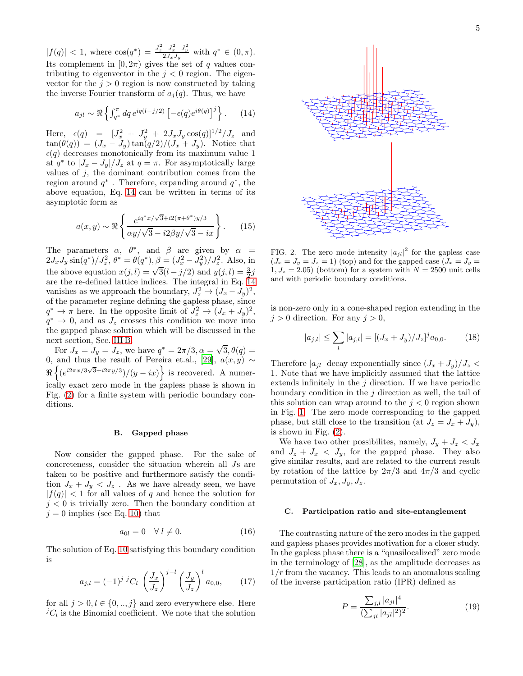$|f(q)| < 1$ , where  $\cos(q^*) = \frac{J_z^2 - J_x^2 - J_y^2}{2J_xJ_y}$  with  $q^* \in (0, \pi)$ . Its complement in  $[0, 2\pi)$  gives the set of q values contributing to eigenvector in the  $j < 0$  region. The eigenvector for the  $j > 0$  region is now constructed by taking the inverse Fourier transform of  $a_j(q)$ . Thus, we have

<span id="page-4-2"></span>
$$
a_{jl} \sim \Re \left\{ \int_{q^*}^{\pi} dq \, e^{iq(l-j/2)} \left[ -\epsilon(q) e^{i\theta(q)} \right]^j \right\}.
$$
 (14)

Here,  $\epsilon(q) = [J_x^2 + J_y^2 + 2J_xJ_y \cos(q)]^{1/2}/J_z$  and  $\tan(\theta(q)) = (J_x - J_y) \tan(q/2)/(J_x + J_y)$ . Notice that  $\epsilon(q)$  decreases monotonically from its maximum value  $1$ at  $q^*$  to  $|J_x - J_y|/J_z$  at  $q = \pi$ . For asymptotically large values of  $j$ , the dominant contribution comes from the region around  $q^*$ . Therefore, expanding around  $q^*$ , the above equation, Eq. [14](#page-4-2) can be written in terms of its asymptotic form as

$$
a(x,y) \sim \Re\left\{\frac{e^{iq^*x/\sqrt{3}+i2(\pi+\theta^*)y/3}}{\alpha y/\sqrt{3}-i2\beta y/\sqrt{3}-ix}\right\}.
$$
 (15)

The parameters  $\alpha$ ,  $\theta^*$ , and  $\beta$  are given by  $\alpha =$  $2J_xJ_y \sin(q^*)/J_z^2$ ,  $\theta^* = \theta(q^*), \beta = (J_x^2 - J_y^2)/J_z^2$ . Also, in the above equation  $x(j, l) = \sqrt{3}(l - j/2)$  and  $y(j, l) = \frac{3}{2}j$ are the re-defined lattice indices. The integral in Eq. [14](#page-4-2) vanishes as we approach the boundary,  $J_z^2 \rightarrow (J_x - J_y)^2$ , of the parameter regime defining the gapless phase, since  $q^* \to \pi$  here. In the opposite limit of  $J_z^2 \to (J_x + J_y)^2$ ,  $q^* \to 0$ , and as  $J_z$  crosses this condition we move into the gapped phase solution which will be discussed in the next section, Sec. [III B.](#page-4-0)

For  $J_x = J_y = J_z$ , we have  $q^* = 2\pi/3$ ,  $\alpha = \sqrt{3}$ ,  $\theta(q) =$ 0, and thus the result of Pereira et.al., [\[29\]](#page-7-22),  $a(x, y) \sim$  $\Re\left\{ (e^{i2\pi x/3\sqrt{3}+i2\pi y/3})/(y-ix)\right\}$  is recovered. A numerically exact zero mode in the gapless phase is shown in Fig. [\(2\)](#page-4-3) for a finite system with periodic boundary conditions.

# <span id="page-4-0"></span>B. Gapped phase

Now consider the gapped phase. For the sake of concreteness, consider the situation wherein all Js are taken to be positive and furthermore satisfy the condition  $J_x + J_y < J_z$ . As we have already seen, we have  $|f(q)| < 1$  for all values of q and hence the solution for  $j < 0$  is trivially zero. Then the boundary condition at  $j = 0$  implies (see Eq. [10\)](#page-3-1) that

$$
a_{0l} = 0 \quad \forall \ l \neq 0. \tag{16}
$$

The solution of Eq. [10](#page-3-1) satisfying this boundary condition is

$$
a_{j,l} = (-1)^{j} {}^{j}C_{l} \left(\frac{J_{x}}{J_{z}}\right)^{j-l} \left(\frac{J_{y}}{J_{z}}\right)^{l} a_{0,0}, \qquad (17)
$$

for all  $j > 0, l \in \{0, ..., j\}$  and zero everywhere else. Here  ${}^{j}C_{l}$  is the Binomial coefficient. We note that the solution



<span id="page-4-3"></span>FIG. 2. The zero mode intensity  $|a_{jl}|^2$  for the gapless case  $(J_x = J_y = J_z = 1)$  (top) and for the gapped case  $(J_x = J_y =$  $1, J_z = 2.05$ ) (bottom) for a system with  $N = 2500$  unit cells and with periodic boundary conditions.

is non-zero only in a cone-shaped region extending in the  $j > 0$  direction. For any  $j > 0$ ,

$$
|a_{j,l}| \le \sum_{l} |a_{j,l}| = [(J_x + J_y)/J_z]^j a_{0,0}.
$$
 (18)

Therefore  $|a_{jl}|$  decay exponentially since  $(J_x + J_y)/J_z$ 1. Note that we have implicitly assumed that the lattice extends infinitely in the  $i$  direction. If we have periodic boundary condition in the  $j$  direction as well, the tail of this solution can wrap around to the  $j < 0$  region shown in Fig. [1.](#page-1-1) The zero mode corresponding to the gapped phase, but still close to the transition (at  $J_z = J_x + J_y$ ), is shown in Fig. [\(2\)](#page-4-3).

We have two other possibilites, namely,  $J_y + J_z < J_x$ and  $J_z + J_x < J_y$ , for the gapped phase. They also give similar results, and are related to the current result by rotation of the lattice by  $2\pi/3$  and  $4\pi/3$  and cyclic permutation of  $J_x, J_y, J_z$ .

### <span id="page-4-1"></span>C. Participation ratio and site-entanglement

The contrasting nature of the zero modes in the gapped and gapless phases provides motivation for a closer study. In the gapless phase there is a "quasilocalized" zero mode in the terminology of [\[28\]](#page-7-21), as the amplitude decreases as  $1/r$  from the vacancy. This leads to an anomalous scaling of the inverse participation ratio (IPR) defined as

$$
P = \frac{\sum_{j,l} |a_{jl}|^4}{(\sum_{jl} |a_{jl}|^2)^2}.
$$
 (19)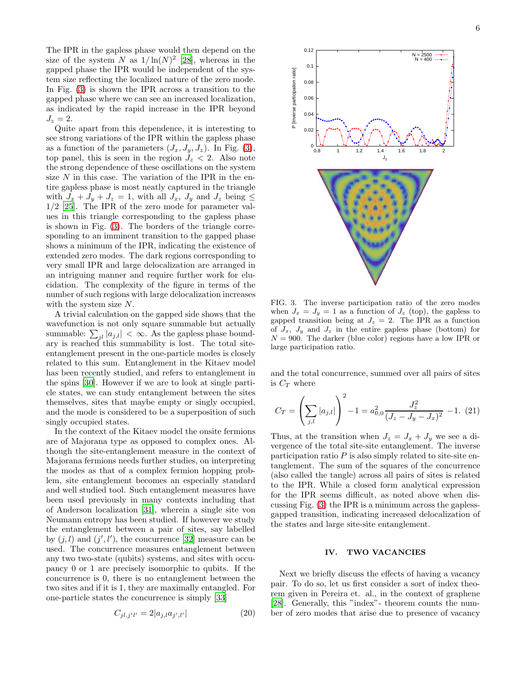The IPR in the gapless phase would then depend on the size of the system N as  $1/\ln(N)^2$  [\[28\]](#page-7-21), whereas in the gapped phase the IPR would be independent of the system size reflecting the localized nature of the zero mode. In Fig. [\(3\)](#page-5-0) is shown the IPR across a transition to the gapped phase where we can see an increased localization, as indicated by the rapid increase in the IPR beyond  $J_z=2$ .

Quite apart from this dependence, it is interesting to see strong variations of the IPR within the gapless phase as a function of the parameters  $(J_x, J_y, J_z)$ . In Fig. [\(3\)](#page-5-0), top panel, this is seen in the region  $J_z < 2$ . Also note the strong dependence of these oscillations on the system size  $N$  in this case. The variation of the IPR in the entire gapless phase is most neatly captured in the triangle with  $J_x + J_y + J_z = 1$ , with all  $J_x$ ,  $J_y$  and  $J_z$  being  $\leq$ 1/2 [\[25\]](#page-7-27). The IPR of the zero mode for parameter values in this triangle corresponding to the gapless phase is shown in Fig. [\(3\)](#page-5-0). The borders of the triangle corresponding to an imminent transition to the gapped phase shows a minimum of the IPR, indicating the existence of extended zero modes. The dark regions corresponding to very small IPR and large delocalization are arranged in an intriguing manner and require further work for elucidation. The complexity of the figure in terms of the number of such regions with large delocalization increases with the system size N.

A trivial calculation on the gapped side shows that the wavefunction is not only square summable but actually summable:  $\sum_{jl} |a_{j,l}| < \infty$ . As the gapless phase boundary is reached this summability is lost. The total siteentanglement present in the one-particle modes is closely related to this sum. Entanglement in the Kitaev model has been recently studied, and refers to entanglement in the spins [\[30](#page-7-29)]. However if we are to look at single particle states, we can study entanglement between the sites themselves, sites that maybe empty or singly occupied, and the mode is considered to be a superposition of such singly occupied states.

In the context of the Kitaev model the onsite fermions are of Majorana type as opposed to complex ones. Although the site-entanglement measure in the context of Majorana fermions needs further studies, on interpreting the modes as that of a complex fermion hopping problem, site entanglement becomes an especially standard and well studied tool. Such entanglement measures have been used previously in many contexts including that of Anderson localization [\[31](#page-7-30)], wherein a single site von Neumann entropy has been studied. If however we study the entanglement between a pair of sites, say labelled by  $(j, l)$  and  $(j', l')$ , the concurrence [\[32\]](#page-7-31) measure can be used. The concurrence measures entanglement between any two two-state (qubits) systems, and sites with occupancy 0 or 1 are precisely isomorphic to qubits. If the concurrence is 0, there is no entanglement between the two sites and if it is 1, they are maximally entangled. For one-particle states the concurrence is simply [\[33](#page-7-32)]

$$
C_{jl.j'l'} = 2|a_{j,l}a_{j',l'}| \tag{20}
$$

6



<span id="page-5-0"></span>FIG. 3. The inverse participation ratio of the zero modes when  $J_x = J_y = 1$  as a function of  $J_z$  (top), the gapless to gapped transition being at  $J_z = 2$ . The IPR as a function of  $J_x$ ,  $J_y$  and  $J_z$  in the entire gapless phase (bottom) for  $N = 900$ . The darker (blue color) regions have a low IPR or large participation ratio.

and the total concurrence, summed over all pairs of sites is  $C_T$  where

$$
C_T = \left(\sum_{j,l} |a_{j,l}|\right)^2 - 1 = a_{0,0}^2 \frac{J_z^2}{(J_z - J_y - J_x)^2} - 1. \tag{21}
$$

Thus, at the transition when  $J_z = J_x + J_y$  we see a divergence of the total site-site entanglement. The inverse participation ratio  $P$  is also simply related to site-site entanglement. The sum of the squares of the concurrence (also called the tangle) across all pairs of sites is related to the IPR. While a closed form analytical expression for the IPR seems difficult, as noted above when discussing Fig. [\(3\)](#page-5-0) the IPR is a minimum across the gaplessgapped transition, indicating increased delocalization of the states and large site-site entanglement.

# IV. TWO VACANCIES

Next we briefly discuss the effects of having a vacancy pair. To do so, let us first consider a sort of index theorem given in Pereira et. al., in the context of graphene [\[28\]](#page-7-21). Generally, this "index"- theorem counts the number of zero modes that arise due to presence of vacancy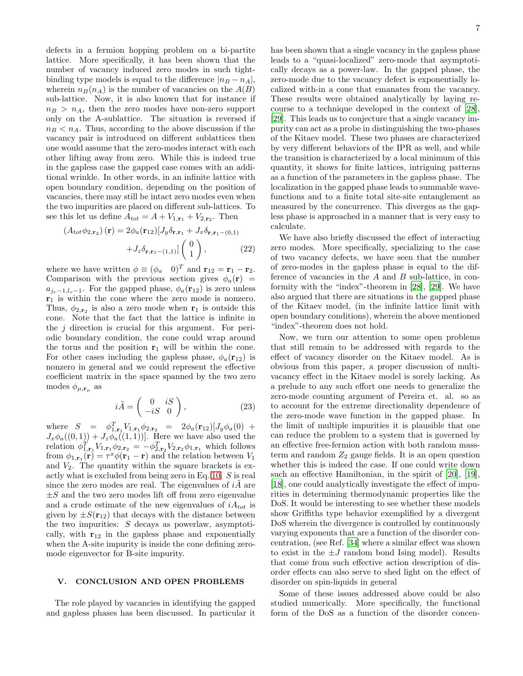defects in a fermion hopping problem on a bi-partite lattice. More specifically, it has been shown that the number of vacancy induced zero modes in such tightbinding type models is equal to the difference  $|n_B - n_A|$ , wherein  $n_B(n_A)$  is the number of vacancies on the  $A(B)$ sub-lattice. Now, it is also known that for instance if  $n_B > n_A$ , then the zero modes have non-zero support only on the A-sublattice. The situation is reversed if  $n_B < n_A$ . Thus, according to the above discussion if the vacancy pair is introduced on different sublattices then one would assume that the zero-modes interact with each other lifting away from zero. While this is indeed true in the gapless case the gapped case comes with an additional wrinkle. In other words, in an infinite lattice with open boundary condition, depending on the position of vacancies, there may still be intact zero modes even when the two impurities are placed on different sub-lattices. To see this let us define  $A_{tot} = A + V_{1,\mathbf{r}_1} + V_{2,\mathbf{r}_2}$ . Then

$$
\left(A_{tot}\phi_{2,\mathbf{r}_2}\right)(\mathbf{r}) = 2\phi_a(\mathbf{r}_{12})[J_y\delta_{\mathbf{r},\mathbf{r}_1} + J_x\delta_{\mathbf{r},\mathbf{r}_1-(0,1)} + J_z\delta_{\mathbf{r},\mathbf{r}_1-(1,1)}]\begin{pmatrix} 0\\1 \end{pmatrix},\tag{22}
$$

where we have written  $\phi \equiv (\phi_a \quad 0)^T$  and  $\mathbf{r}_{12} = \mathbf{r}_1 - \mathbf{r}_2$ . Comparison with the previous section gives  $\phi_a(\mathbf{r})$  =  $a_{j_r-1,l_r-1}$ . For the gapped phase,  $\phi_a(\mathbf{r}_{12})$  is zero unless  $r_1$  is within the cone where the zero mode is nonzero. Thus,  $\phi_{2,\mathbf{r}_2}$  is also a zero mode when  $\mathbf{r}_1$  is outside this cone. Note that the fact that the lattice is infinite in the  $j$  direction is crucial for this argument. For periodic boundary condition, the cone could wrap around the torus and the position  $r_1$  will be within the cone. For other cases including the gapless phase,  $\phi_a(\mathbf{r}_{12})$  is nonzero in general and we could represent the effective coefficient matrix in the space spanned by the two zero modes  $\phi_{\mu,\mathbf{r}_{\mu}}$  as

$$
i\tilde{A} = \begin{pmatrix} 0 & iS \\ -iS & 0 \end{pmatrix}, \tag{23}
$$

where  $S = \phi_{1,\mathbf{r}_1}^T V_{1,\mathbf{r}_1} \phi_{2,\mathbf{r}_2} = 2\phi_a(\mathbf{r}_{12}) [J_y \phi_a(0) +$  $J_x\phi_a((0,1))+J_z\phi_a((1,1))$ . Here we have also used the relation  $\phi_{1,\mathbf{r}_1}^T V_{1,\mathbf{r}_1} \phi_{2,\mathbf{r}_2} = -\phi_{2,\mathbf{r}_2}^T V_{2,\mathbf{r}_2} \phi_{1,\mathbf{r}_1}$  which follows from  $\phi_{1,\mathbf{r}_1}(\mathbf{r}) = \tau^x \phi(\mathbf{r}_1 - \mathbf{r})$  and the relation between  $V_1$ and  $V_2$ . The quantity within the square brackets is exactly what is excluded from being zero in Eq. [10.](#page-3-1) S is real since the zero modes are real. The eigenvalues of  $i\tilde{A}$  are  $\pm S$  and the two zero modes lift off from zero eigenvalue and a crude estimate of the new eigenvalues of  $iA_{tot}$  is given by  $\pm S(\mathbf{r}_{12})$  that decays with the distance between the two impurities:  $S$  decays as powerlaw, asymptotically, with  $r_{12}$  in the gapless phase and exponentially when the A-site impurity is inside the cone defining zeromode eigenvector for B-site impurity.

# <span id="page-6-0"></span>V. CONCLUSION AND OPEN PROBLEMS

The role played by vacancies in identifying the gapped and gapless phases has been discussed. In particular it has been shown that a single vacancy in the gapless phase leads to a "quasi-localized" zero-mode that asymptotically decays as a power-law. In the gapped phase, the zero-mode due to the vacancy defect is exponentially localized with-in a cone that emanates from the vacancy. These results were obtained analytically by laying recourse to a technique developed in the context of [\[28\]](#page-7-21), [\[29\]](#page-7-22). This leads us to conjecture that a single vacancy impurity can act as a probe in distinguishing the two-phases of the Kitaev model. These two phases are characterized by very different behaviors of the IPR as well, and while the transition is characterized by a local minimum of this quantity, it shows for finite lattices, intriguing patterns as a function of the parameters in the gapless phase. The localization in the gapped phase leads to summable wavefunctions and to a finite total site-site entanglement as measured by the concurrence. This diverges as the gapless phase is approached in a manner that is very easy to calculate.

We have also briefly discussed the effect of interacting zero modes. More specifically, specializing to the case of two vacancy defects, we have seen that the number of zero-modes in the gapless phase is equal to the difference of vacancies in the  $A$  and  $B$  sub-lattice, in conformity with the "index"-theorem in [\[28\]](#page-7-21), [\[29\]](#page-7-22). We have also argued that there are situations in the gapped phase of the Kitaev model, (in the infinite lattice limit with open boundary conditions), wherein the above mentioned "index"-theorem does not hold.

Now, we turn our attention to some open problems that still remain to be addressed with regards to the effect of vacancy disorder on the Kitaev model. As is obvious from this paper, a proper discussion of multivacancy effect in the Kitaev model is sorely lacking. As a prelude to any such effort one needs to generalize the zero-mode counting argument of Pereira et. al. so as to account for the extreme directionality dependence of the zero-mode wave function in the gapped phase. In the limit of multiple impurities it is plausible that one can reduce the problem to a system that is governed by an effective free-fermion action with both random massterm and random  $Z_2$  gauge fields. It is an open question whether this is indeed the case. If one could write down such an effective Hamiltonian, in the spirit of [\[20](#page-7-19)], [\[19\]](#page-7-18), [\[18\]](#page-7-17), one could analytically investigate the effect of impurities in determining thermodynamic properties like the DoS. It would be interesting to see whether these models show Griffiths type behavior exemplified by a divergent DoS wherein the divergence is controlled by continuously varying exponents that are a function of the disorder concentration, (see Ref. [\[34\]](#page-7-33) where a similar effect was shown to exist in the  $\pm J$  random bond Ising model). Results that come from such effective action description of disorder effects can also serve to shed light on the effect of disorder on spin-liquids in general

Some of these issues addressed above could be also studied numerically. More specifically, the functional form of the DoS as a function of the disorder concen